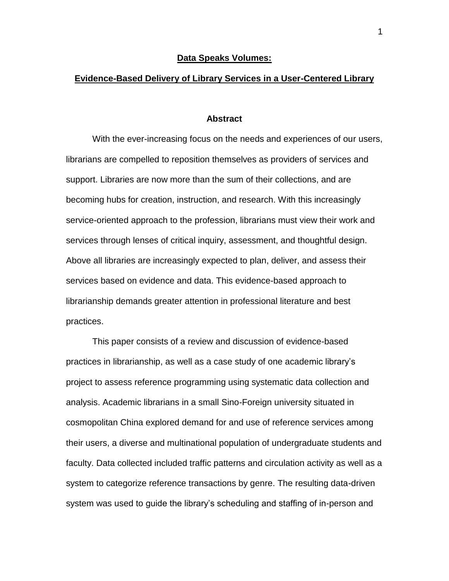#### **Data Speaks Volumes:**

## **Evidence-Based Delivery of Library Services in a User-Centered Library**

#### **Abstract**

With the ever-increasing focus on the needs and experiences of our users, librarians are compelled to reposition themselves as providers of services and support. Libraries are now more than the sum of their collections, and are becoming hubs for creation, instruction, and research. With this increasingly service-oriented approach to the profession, librarians must view their work and services through lenses of critical inquiry, assessment, and thoughtful design. Above all libraries are increasingly expected to plan, deliver, and assess their services based on evidence and data. This evidence-based approach to librarianship demands greater attention in professional literature and best practices.

This paper consists of a review and discussion of evidence-based practices in librarianship, as well as a case study of one academic library's project to assess reference programming using systematic data collection and analysis. Academic librarians in a small Sino-Foreign university situated in cosmopolitan China explored demand for and use of reference services among their users, a diverse and multinational population of undergraduate students and faculty. Data collected included traffic patterns and circulation activity as well as a system to categorize reference transactions by genre. The resulting data-driven system was used to guide the library's scheduling and staffing of in-person and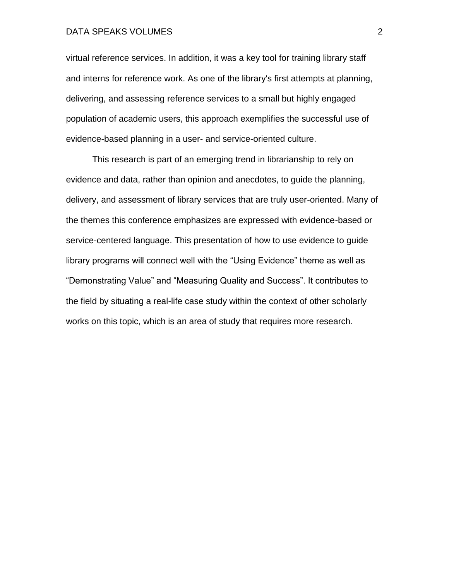virtual reference services. In addition, it was a key tool for training library staff and interns for reference work. As one of the library's first attempts at planning, delivering, and assessing reference services to a small but highly engaged population of academic users, this approach exemplifies the successful use of evidence-based planning in a user- and service-oriented culture.

This research is part of an emerging trend in librarianship to rely on evidence and data, rather than opinion and anecdotes, to guide the planning, delivery, and assessment of library services that are truly user-oriented. Many of the themes this conference emphasizes are expressed with evidence-based or service-centered language. This presentation of how to use evidence to guide library programs will connect well with the "Using Evidence" theme as well as "Demonstrating Value" and "Measuring Quality and Success". It contributes to the field by situating a real-life case study within the context of other scholarly works on this topic, which is an area of study that requires more research.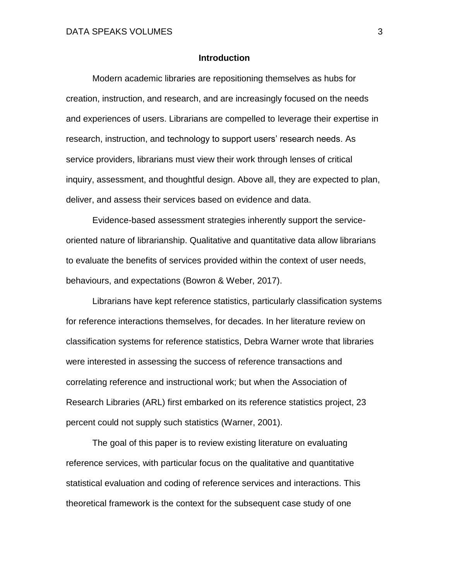## **Introduction**

Modern academic libraries are repositioning themselves as hubs for creation, instruction, and research, and are increasingly focused on the needs and experiences of users. Librarians are compelled to leverage their expertise in research, instruction, and technology to support users' research needs. As service providers, librarians must view their work through lenses of critical inquiry, assessment, and thoughtful design. Above all, they are expected to plan, deliver, and assess their services based on evidence and data.

Evidence-based assessment strategies inherently support the serviceoriented nature of librarianship. Qualitative and quantitative data allow librarians to evaluate the benefits of services provided within the context of user needs, behaviours, and expectations (Bowron & Weber, 2017).

Librarians have kept reference statistics, particularly classification systems for reference interactions themselves, for decades. In her literature review on classification systems for reference statistics, Debra Warner wrote that libraries were interested in assessing the success of reference transactions and correlating reference and instructional work; but when the Association of Research Libraries (ARL) first embarked on its reference statistics project, 23 percent could not supply such statistics (Warner, 2001).

The goal of this paper is to review existing literature on evaluating reference services, with particular focus on the qualitative and quantitative statistical evaluation and coding of reference services and interactions. This theoretical framework is the context for the subsequent case study of one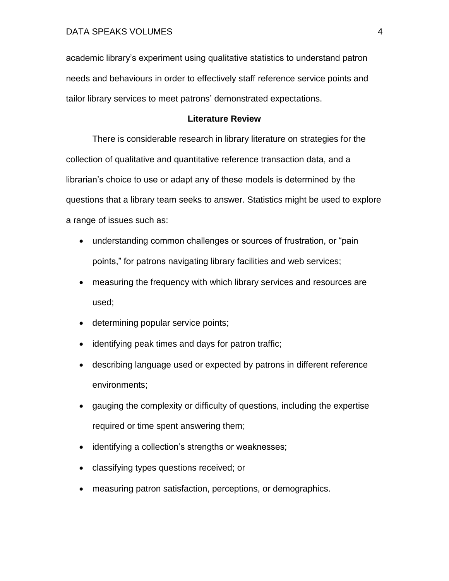academic library's experiment using qualitative statistics to understand patron needs and behaviours in order to effectively staff reference service points and tailor library services to meet patrons' demonstrated expectations.

## **Literature Review**

There is considerable research in library literature on strategies for the collection of qualitative and quantitative reference transaction data, and a librarian's choice to use or adapt any of these models is determined by the questions that a library team seeks to answer. Statistics might be used to explore a range of issues such as:

- understanding common challenges or sources of frustration, or "pain points," for patrons navigating library facilities and web services;
- measuring the frequency with which library services and resources are used;
- determining popular service points;
- identifying peak times and days for patron traffic;
- describing language used or expected by patrons in different reference environments;
- gauging the complexity or difficulty of questions, including the expertise required or time spent answering them;
- identifying a collection's strengths or weaknesses;
- classifying types questions received; or
- measuring patron satisfaction, perceptions, or demographics.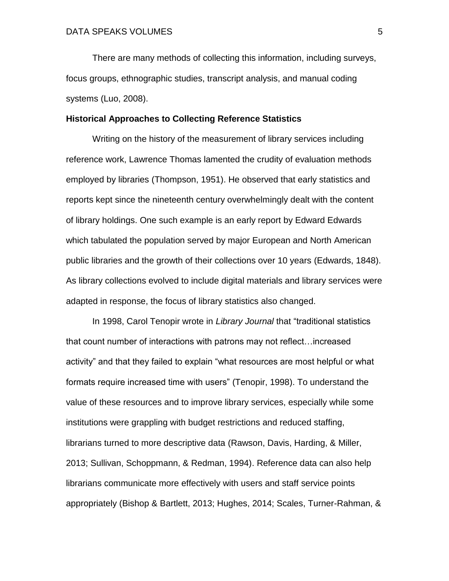There are many methods of collecting this information, including surveys, focus groups, ethnographic studies, transcript analysis, and manual coding systems (Luo, 2008).

#### **Historical Approaches to Collecting Reference Statistics**

Writing on the history of the measurement of library services including reference work, Lawrence Thomas lamented the crudity of evaluation methods employed by libraries (Thompson, 1951). He observed that early statistics and reports kept since the nineteenth century overwhelmingly dealt with the content of library holdings. One such example is an early report by Edward Edwards which tabulated the population served by major European and North American public libraries and the growth of their collections over 10 years (Edwards, 1848). As library collections evolved to include digital materials and library services were adapted in response, the focus of library statistics also changed.

In 1998, Carol Tenopir wrote in *Library Journal* that "traditional statistics that count number of interactions with patrons may not reflect…increased activity" and that they failed to explain "what resources are most helpful or what formats require increased time with users" (Tenopir, 1998). To understand the value of these resources and to improve library services, especially while some institutions were grappling with budget restrictions and reduced staffing, librarians turned to more descriptive data (Rawson, Davis, Harding, & Miller, 2013; Sullivan, Schoppmann, & Redman, 1994). Reference data can also help librarians communicate more effectively with users and staff service points appropriately (Bishop & Bartlett, 2013; Hughes, 2014; Scales, Turner-Rahman, &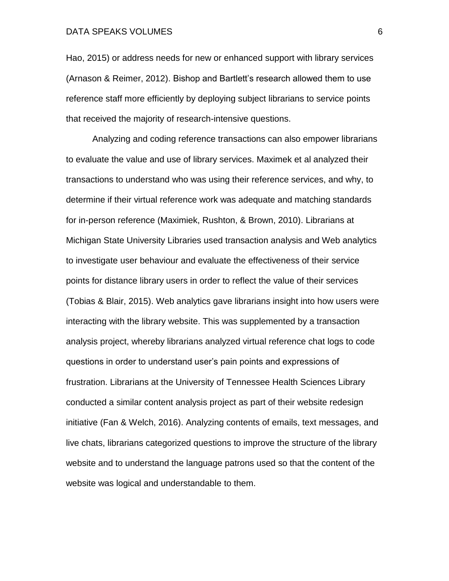Hao, 2015) or address needs for new or enhanced support with library services (Arnason & Reimer, 2012). Bishop and Bartlett's research allowed them to use reference staff more efficiently by deploying subject librarians to service points that received the majority of research-intensive questions.

Analyzing and coding reference transactions can also empower librarians to evaluate the value and use of library services. Maximek et al analyzed their transactions to understand who was using their reference services, and why, to determine if their virtual reference work was adequate and matching standards for in-person reference (Maximiek, Rushton, & Brown, 2010). Librarians at Michigan State University Libraries used transaction analysis and Web analytics to investigate user behaviour and evaluate the effectiveness of their service points for distance library users in order to reflect the value of their services (Tobias & Blair, 2015). Web analytics gave librarians insight into how users were interacting with the library website. This was supplemented by a transaction analysis project, whereby librarians analyzed virtual reference chat logs to code questions in order to understand user's pain points and expressions of frustration. Librarians at the University of Tennessee Health Sciences Library conducted a similar content analysis project as part of their website redesign initiative (Fan & Welch, 2016). Analyzing contents of emails, text messages, and live chats, librarians categorized questions to improve the structure of the library website and to understand the language patrons used so that the content of the website was logical and understandable to them.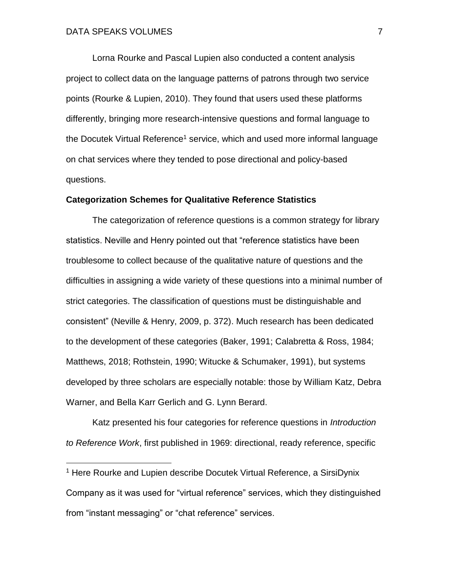$\overline{a}$ 

Lorna Rourke and Pascal Lupien also conducted a content analysis project to collect data on the language patterns of patrons through two service points (Rourke & Lupien, 2010). They found that users used these platforms differently, bringing more research-intensive questions and formal language to the Docutek Virtual Reference<sup>1</sup> service, which and used more informal language on chat services where they tended to pose directional and policy-based questions.

#### **Categorization Schemes for Qualitative Reference Statistics**

The categorization of reference questions is a common strategy for library statistics. Neville and Henry pointed out that "reference statistics have been troublesome to collect because of the qualitative nature of questions and the difficulties in assigning a wide variety of these questions into a minimal number of strict categories. The classification of questions must be distinguishable and consistent" (Neville & Henry, 2009, p. 372). Much research has been dedicated to the development of these categories (Baker, 1991; Calabretta & Ross, 1984; Matthews, 2018; Rothstein, 1990; Witucke & Schumaker, 1991), but systems developed by three scholars are especially notable: those by William Katz, Debra Warner, and Bella Karr Gerlich and G. Lynn Berard.

Katz presented his four categories for reference questions in *Introduction to Reference Work*, first published in 1969: directional, ready reference, specific

<sup>&</sup>lt;sup>1</sup> Here Rourke and Lupien describe Docutek Virtual Reference, a SirsiDynix Company as it was used for "virtual reference" services, which they distinguished from "instant messaging" or "chat reference" services.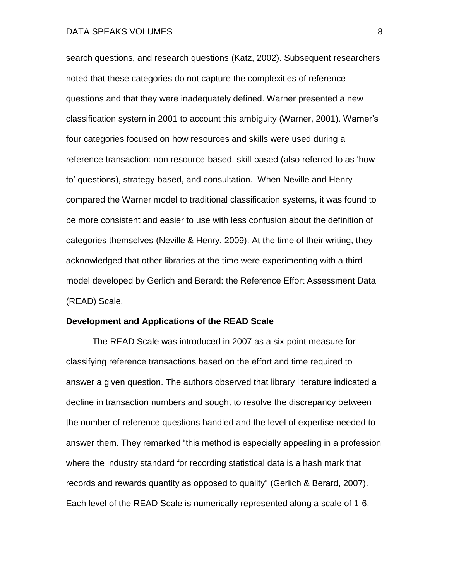search questions, and research questions (Katz, 2002). Subsequent researchers noted that these categories do not capture the complexities of reference questions and that they were inadequately defined. Warner presented a new classification system in 2001 to account this ambiguity (Warner, 2001). Warner's four categories focused on how resources and skills were used during a reference transaction: non resource-based, skill-based (also referred to as 'howto' questions), strategy-based, and consultation. When Neville and Henry compared the Warner model to traditional classification systems, it was found to be more consistent and easier to use with less confusion about the definition of categories themselves (Neville & Henry, 2009). At the time of their writing, they acknowledged that other libraries at the time were experimenting with a third model developed by Gerlich and Berard: the Reference Effort Assessment Data (READ) Scale.

#### **Development and Applications of the READ Scale**

The READ Scale was introduced in 2007 as a six-point measure for classifying reference transactions based on the effort and time required to answer a given question. The authors observed that library literature indicated a decline in transaction numbers and sought to resolve the discrepancy between the number of reference questions handled and the level of expertise needed to answer them. They remarked "this method is especially appealing in a profession where the industry standard for recording statistical data is a hash mark that records and rewards quantity as opposed to quality" (Gerlich & Berard, 2007). Each level of the READ Scale is numerically represented along a scale of 1-6,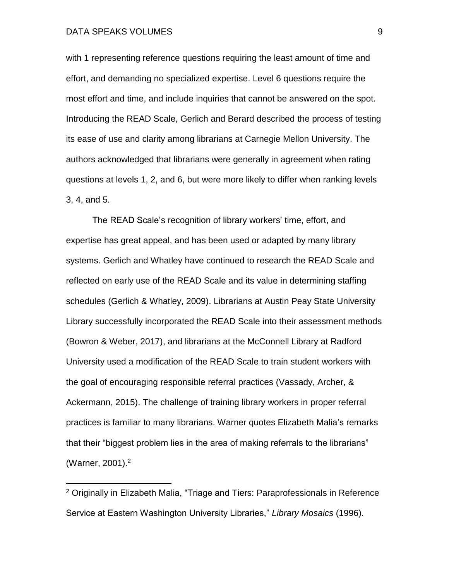$\overline{a}$ 

with 1 representing reference questions requiring the least amount of time and effort, and demanding no specialized expertise. Level 6 questions require the most effort and time, and include inquiries that cannot be answered on the spot. Introducing the READ Scale, Gerlich and Berard described the process of testing its ease of use and clarity among librarians at Carnegie Mellon University. The authors acknowledged that librarians were generally in agreement when rating questions at levels 1, 2, and 6, but were more likely to differ when ranking levels 3, 4, and 5.

The READ Scale's recognition of library workers' time, effort, and expertise has great appeal, and has been used or adapted by many library systems. Gerlich and Whatley have continued to research the READ Scale and reflected on early use of the READ Scale and its value in determining staffing schedules (Gerlich & Whatley, 2009). Librarians at Austin Peay State University Library successfully incorporated the READ Scale into their assessment methods (Bowron & Weber, 2017), and librarians at the McConnell Library at Radford University used a modification of the READ Scale to train student workers with the goal of encouraging responsible referral practices (Vassady, Archer, & Ackermann, 2015). The challenge of training library workers in proper referral practices is familiar to many librarians. Warner quotes Elizabeth Malia's remarks that their "biggest problem lies in the area of making referrals to the librarians" (Warner, 2001). 2

<sup>2</sup> Originally in Elizabeth Malia, "Triage and Tiers: Paraprofessionals in Reference Service at Eastern Washington University Libraries," *Library Mosaics* (1996).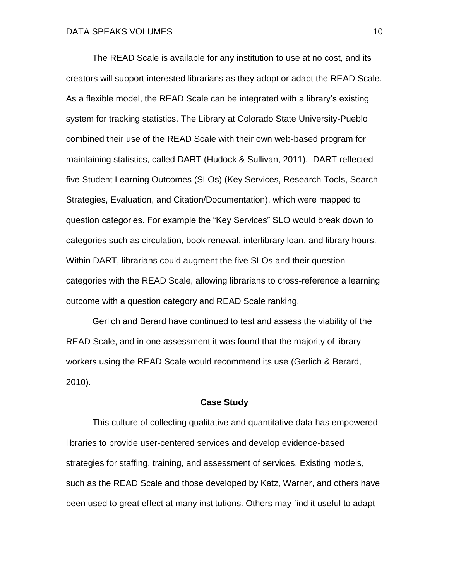The READ Scale is available for any institution to use at no cost, and its creators will support interested librarians as they adopt or adapt the READ Scale. As a flexible model, the READ Scale can be integrated with a library's existing system for tracking statistics. The Library at Colorado State University-Pueblo combined their use of the READ Scale with their own web-based program for maintaining statistics, called DART (Hudock & Sullivan, 2011). DART reflected five Student Learning Outcomes (SLOs) (Key Services, Research Tools, Search Strategies, Evaluation, and Citation/Documentation), which were mapped to question categories. For example the "Key Services" SLO would break down to categories such as circulation, book renewal, interlibrary loan, and library hours. Within DART, librarians could augment the five SLOs and their question categories with the READ Scale, allowing librarians to cross-reference a learning outcome with a question category and READ Scale ranking.

Gerlich and Berard have continued to test and assess the viability of the READ Scale, and in one assessment it was found that the majority of library workers using the READ Scale would recommend its use (Gerlich & Berard, 2010).

### **Case Study**

This culture of collecting qualitative and quantitative data has empowered libraries to provide user-centered services and develop evidence-based strategies for staffing, training, and assessment of services. Existing models, such as the READ Scale and those developed by Katz, Warner, and others have been used to great effect at many institutions. Others may find it useful to adapt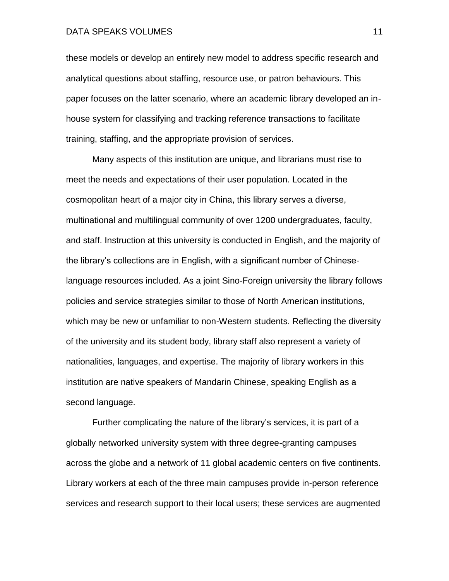these models or develop an entirely new model to address specific research and analytical questions about staffing, resource use, or patron behaviours. This paper focuses on the latter scenario, where an academic library developed an inhouse system for classifying and tracking reference transactions to facilitate training, staffing, and the appropriate provision of services.

Many aspects of this institution are unique, and librarians must rise to meet the needs and expectations of their user population. Located in the cosmopolitan heart of a major city in China, this library serves a diverse, multinational and multilingual community of over 1200 undergraduates, faculty, and staff. Instruction at this university is conducted in English, and the majority of the library's collections are in English, with a significant number of Chineselanguage resources included. As a joint Sino-Foreign university the library follows policies and service strategies similar to those of North American institutions, which may be new or unfamiliar to non-Western students. Reflecting the diversity of the university and its student body, library staff also represent a variety of nationalities, languages, and expertise. The majority of library workers in this institution are native speakers of Mandarin Chinese, speaking English as a second language.

Further complicating the nature of the library's services, it is part of a globally networked university system with three degree-granting campuses across the globe and a network of 11 global academic centers on five continents. Library workers at each of the three main campuses provide in-person reference services and research support to their local users; these services are augmented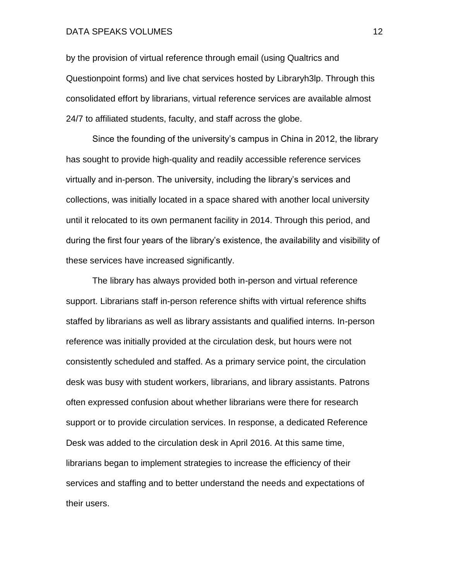by the provision of virtual reference through email (using Qualtrics and Questionpoint forms) and live chat services hosted by Libraryh3lp. Through this consolidated effort by librarians, virtual reference services are available almost 24/7 to affiliated students, faculty, and staff across the globe.

Since the founding of the university's campus in China in 2012, the library has sought to provide high-quality and readily accessible reference services virtually and in-person. The university, including the library's services and collections, was initially located in a space shared with another local university until it relocated to its own permanent facility in 2014. Through this period, and during the first four years of the library's existence, the availability and visibility of these services have increased significantly.

The library has always provided both in-person and virtual reference support. Librarians staff in-person reference shifts with virtual reference shifts staffed by librarians as well as library assistants and qualified interns. In-person reference was initially provided at the circulation desk, but hours were not consistently scheduled and staffed. As a primary service point, the circulation desk was busy with student workers, librarians, and library assistants. Patrons often expressed confusion about whether librarians were there for research support or to provide circulation services. In response, a dedicated Reference Desk was added to the circulation desk in April 2016. At this same time, librarians began to implement strategies to increase the efficiency of their services and staffing and to better understand the needs and expectations of their users.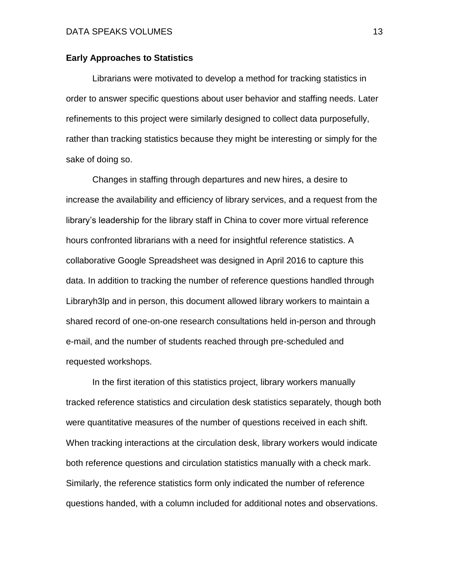#### **Early Approaches to Statistics**

Librarians were motivated to develop a method for tracking statistics in order to answer specific questions about user behavior and staffing needs. Later refinements to this project were similarly designed to collect data purposefully, rather than tracking statistics because they might be interesting or simply for the sake of doing so.

Changes in staffing through departures and new hires, a desire to increase the availability and efficiency of library services, and a request from the library's leadership for the library staff in China to cover more virtual reference hours confronted librarians with a need for insightful reference statistics. A collaborative Google Spreadsheet was designed in April 2016 to capture this data. In addition to tracking the number of reference questions handled through Libraryh3lp and in person, this document allowed library workers to maintain a shared record of one-on-one research consultations held in-person and through e-mail, and the number of students reached through pre-scheduled and requested workshops.

In the first iteration of this statistics project, library workers manually tracked reference statistics and circulation desk statistics separately, though both were quantitative measures of the number of questions received in each shift. When tracking interactions at the circulation desk, library workers would indicate both reference questions and circulation statistics manually with a check mark. Similarly, the reference statistics form only indicated the number of reference questions handed, with a column included for additional notes and observations.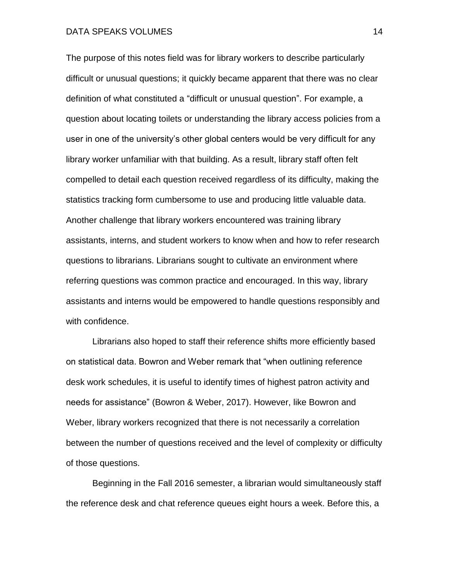The purpose of this notes field was for library workers to describe particularly difficult or unusual questions; it quickly became apparent that there was no clear definition of what constituted a "difficult or unusual question". For example, a question about locating toilets or understanding the library access policies from a user in one of the university's other global centers would be very difficult for any library worker unfamiliar with that building. As a result, library staff often felt compelled to detail each question received regardless of its difficulty, making the statistics tracking form cumbersome to use and producing little valuable data. Another challenge that library workers encountered was training library assistants, interns, and student workers to know when and how to refer research questions to librarians. Librarians sought to cultivate an environment where referring questions was common practice and encouraged. In this way, library assistants and interns would be empowered to handle questions responsibly and with confidence.

Librarians also hoped to staff their reference shifts more efficiently based on statistical data. Bowron and Weber remark that "when outlining reference desk work schedules, it is useful to identify times of highest patron activity and needs for assistance" (Bowron & Weber, 2017). However, like Bowron and Weber, library workers recognized that there is not necessarily a correlation between the number of questions received and the level of complexity or difficulty of those questions.

Beginning in the Fall 2016 semester, a librarian would simultaneously staff the reference desk and chat reference queues eight hours a week. Before this, a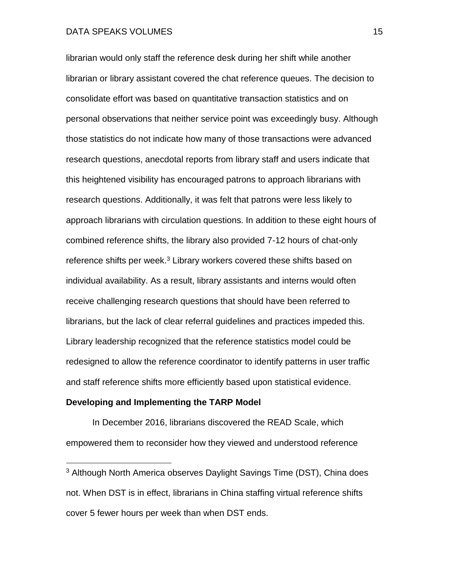librarian would only staff the reference desk during her shift while another librarian or library assistant covered the chat reference queues. The decision to consolidate effort was based on quantitative transaction statistics and on personal observations that neither service point was exceedingly busy. Although those statistics do not indicate how many of those transactions were advanced research questions, anecdotal reports from library staff and users indicate that this heightened visibility has encouraged patrons to approach librarians with research questions. Additionally, it was felt that patrons were less likely to approach librarians with circulation questions. In addition to these eight hours of combined reference shifts, the library also provided 7-12 hours of chat-only reference shifts per week.<sup>3</sup> Library workers covered these shifts based on individual availability. As a result, library assistants and interns would often receive challenging research questions that should have been referred to librarians, but the lack of clear referral guidelines and practices impeded this. Library leadership recognized that the reference statistics model could be redesigned to allow the reference coordinator to identify patterns in user traffic and staff reference shifts more efficiently based upon statistical evidence.

#### **Developing and Implementing the TARP Model**

 $\overline{a}$ 

In December 2016, librarians discovered the READ Scale, which empowered them to reconsider how they viewed and understood reference

<sup>3</sup> Although North America observes Daylight Savings Time (DST), China does not. When DST is in effect, librarians in China staffing virtual reference shifts cover 5 fewer hours per week than when DST ends.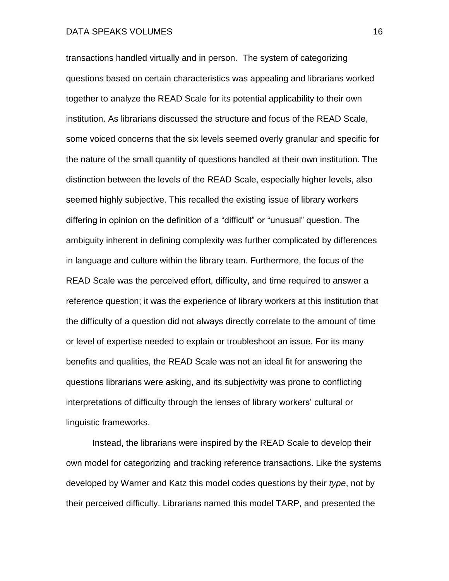transactions handled virtually and in person. The system of categorizing questions based on certain characteristics was appealing and librarians worked together to analyze the READ Scale for its potential applicability to their own institution. As librarians discussed the structure and focus of the READ Scale, some voiced concerns that the six levels seemed overly granular and specific for the nature of the small quantity of questions handled at their own institution. The distinction between the levels of the READ Scale, especially higher levels, also seemed highly subjective. This recalled the existing issue of library workers differing in opinion on the definition of a "difficult" or "unusual" question. The ambiguity inherent in defining complexity was further complicated by differences in language and culture within the library team. Furthermore, the focus of the READ Scale was the perceived effort, difficulty, and time required to answer a reference question; it was the experience of library workers at this institution that the difficulty of a question did not always directly correlate to the amount of time or level of expertise needed to explain or troubleshoot an issue. For its many benefits and qualities, the READ Scale was not an ideal fit for answering the questions librarians were asking, and its subjectivity was prone to conflicting interpretations of difficulty through the lenses of library workers' cultural or linguistic frameworks.

Instead, the librarians were inspired by the READ Scale to develop their own model for categorizing and tracking reference transactions. Like the systems developed by Warner and Katz this model codes questions by their *type*, not by their perceived difficulty. Librarians named this model TARP, and presented the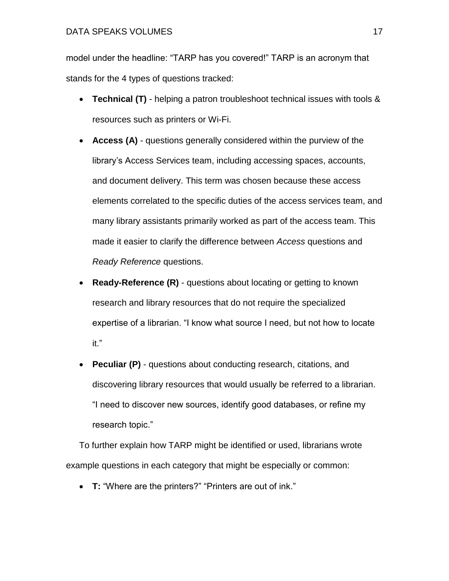model under the headline: "TARP has you covered!" TARP is an acronym that stands for the 4 types of questions tracked:

- **Technical (T)**  helping a patron troubleshoot technical issues with tools & resources such as printers or Wi-Fi.
- **Access (A)** questions generally considered within the purview of the library's Access Services team, including accessing spaces, accounts, and document delivery. This term was chosen because these access elements correlated to the specific duties of the access services team, and many library assistants primarily worked as part of the access team. This made it easier to clarify the difference between *Access* questions and *Ready Reference* questions.
- **Ready-Reference (R)** questions about locating or getting to known research and library resources that do not require the specialized expertise of a librarian. "I know what source I need, but not how to locate it."
- **Peculiar (P)**  questions about conducting research, citations, and discovering library resources that would usually be referred to a librarian. "I need to discover new sources, identify good databases, or refine my research topic."

To further explain how TARP might be identified or used, librarians wrote example questions in each category that might be especially or common:

• **T:** "Where are the printers?" "Printers are out of ink."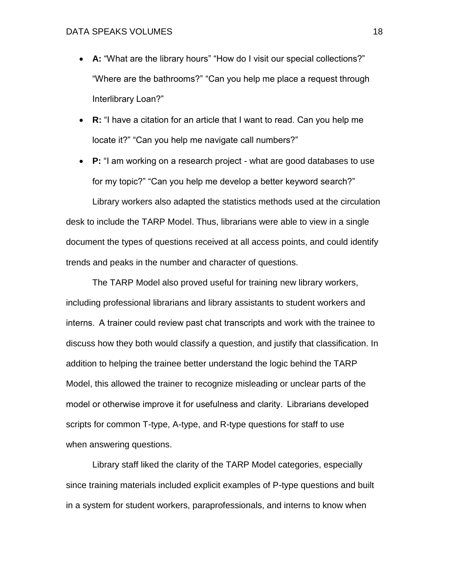- A: "What are the library hours" "How do I visit our special collections?" "Where are the bathrooms?" "Can you help me place a request through Interlibrary Loan?"
- **R:** "I have a citation for an article that I want to read. Can you help me locate it?" "Can you help me navigate call numbers?"
- **P:** "I am working on a research project what are good databases to use for my topic?" "Can you help me develop a better keyword search?"

Library workers also adapted the statistics methods used at the circulation desk to include the TARP Model. Thus, librarians were able to view in a single document the types of questions received at all access points, and could identify trends and peaks in the number and character of questions.

The TARP Model also proved useful for training new library workers, including professional librarians and library assistants to student workers and interns.  A trainer could review past chat transcripts and work with the trainee to discuss how they both would classify a question, and justify that classification. In addition to helping the trainee better understand the logic behind the TARP Model, this allowed the trainer to recognize misleading or unclear parts of the model or otherwise improve it for usefulness and clarity.  Librarians developed scripts for common T-type, A-type, and R-type questions for staff to use when answering questions.

Library staff liked the clarity of the TARP Model categories, especially since training materials included explicit examples of P-type questions and built in a system for student workers, paraprofessionals, and interns to know when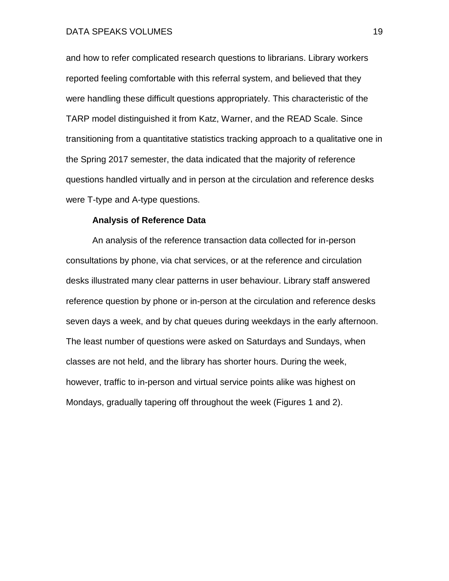and how to refer complicated research questions to librarians. Library workers reported feeling comfortable with this referral system, and believed that they were handling these difficult questions appropriately. This characteristic of the TARP model distinguished it from Katz, Warner, and the READ Scale. Since transitioning from a quantitative statistics tracking approach to a qualitative one in the Spring 2017 semester, the data indicated that the majority of reference questions handled virtually and in person at the circulation and reference desks were T-type and A-type questions.

### **Analysis of Reference Data**

An analysis of the reference transaction data collected for in-person consultations by phone, via chat services, or at the reference and circulation desks illustrated many clear patterns in user behaviour. Library staff answered reference question by phone or in-person at the circulation and reference desks seven days a week, and by chat queues during weekdays in the early afternoon. The least number of questions were asked on Saturdays and Sundays, when classes are not held, and the library has shorter hours. During the week, however, traffic to in-person and virtual service points alike was highest on Mondays, gradually tapering off throughout the week (Figures 1 and 2).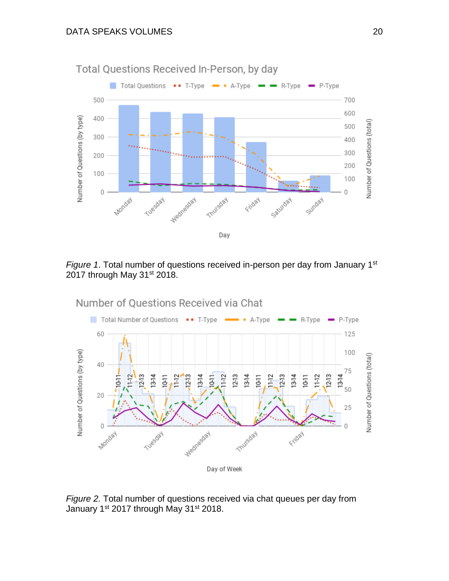

*Figure 1.* Total number of questions received in-person per day from January 1<sup>st</sup> 2017 through May 31<sup>st</sup> 2018.



*Figure 2.* Total number of questions received via chat queues per day from January 1<sup>st</sup> 2017 through May 31<sup>st</sup> 2018.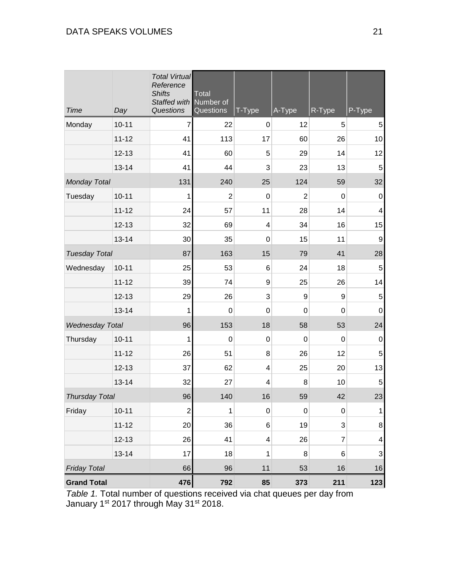| <b>Time</b>            | Day       | <b>Total Virtual</b><br>Reference<br><b>Shifts</b><br>Staffed with<br>Questions | <b>Total</b><br>Number of<br>Questions | T-Type           | A-Type         | R-Type         | P-Type                    |
|------------------------|-----------|---------------------------------------------------------------------------------|----------------------------------------|------------------|----------------|----------------|---------------------------|
| Monday                 | $10 - 11$ | $\overline{7}$                                                                  | 22                                     | $\pmb{0}$        | 12             | 5              | 5                         |
|                        | $11 - 12$ | 41                                                                              | 113                                    | 17               | 60             | 26             | 10                        |
|                        | $12 - 13$ | 41                                                                              | 60                                     | 5                | 29             | 14             | 12                        |
|                        | $13 - 14$ | 41                                                                              | 44                                     | 3                | 23             | 13             | 5                         |
| <b>Monday Total</b>    |           | 131                                                                             | 240                                    | 25               | 124            | 59             | 32                        |
| Tuesday                | $10 - 11$ | 1                                                                               | $\overline{2}$                         | $\pmb{0}$        | $\overline{2}$ | $\mathbf 0$    | $\boldsymbol{0}$          |
|                        | $11 - 12$ | 24                                                                              | 57                                     | 11               | 28             | 14             | 4                         |
|                        | $12 - 13$ | 32                                                                              | 69                                     | 4                | 34             | 16             | 15                        |
|                        | $13 - 14$ | 30                                                                              | 35                                     | $\pmb{0}$        | 15             | 11             | 9                         |
| <b>Tuesday Total</b>   |           | 87                                                                              | 163                                    | 15               | 79             | 41             | 28                        |
| Wednesday              | $10 - 11$ | 25                                                                              | 53                                     | 6                | 24             | 18             | 5                         |
|                        | $11 - 12$ | 39                                                                              | 74                                     | 9                | 25             | 26             | 14                        |
|                        | $12 - 13$ | 29                                                                              | 26                                     | 3                | 9              | 9              | $\,$ 5 $\,$               |
|                        | $13 - 14$ | 1                                                                               | $\mathbf 0$                            | $\mathbf 0$      | $\mathbf 0$    | $\mathbf 0$    | $\mathbf 0$               |
| <b>Wednesday Total</b> |           | 96                                                                              | 153                                    | 18               | 58             | 53             | 24                        |
| Thursday               | $10 - 11$ | 1                                                                               | 0                                      | $\boldsymbol{0}$ | 0              | 0              | $\mathbf 0$               |
|                        | $11 - 12$ | 26                                                                              | 51                                     | 8                | 26             | 12             | 5                         |
|                        | $12 - 13$ | 37                                                                              | 62                                     | 4                | 25             | 20             | 13                        |
|                        | $13 - 14$ | 32                                                                              | 27                                     | 4                | 8              | 10             | 5                         |
| <b>Thursday Total</b>  |           | 96                                                                              | 140                                    | 16               | 59             | 42             | 23                        |
| Friday                 | $10 - 11$ | $\boldsymbol{2}$                                                                | 1                                      | $\pmb{0}$        | 0              | $\mathbf 0$    | 1                         |
|                        | $11 - 12$ | 20                                                                              | 36                                     | 6                | 19             | 3              | $\bf 8$                   |
|                        | $12 - 13$ | 26                                                                              | 41                                     | 4                | 26             | $\overline{7}$ | 4                         |
|                        | $13 - 14$ | 17                                                                              | 18                                     | 1                | 8              | 6              | $\ensuremath{\mathsf{3}}$ |
| <b>Friday Total</b>    |           | 66                                                                              | 96                                     | 11               | 53             | 16             | $16\,$                    |
| <b>Grand Total</b>     |           | 476                                                                             | 792                                    | 85               | 373            | 211            | $123$                     |

*Table 1.* Total number of questions received via chat queues per day from January 1<sup>st</sup> 2017 through May 31<sup>st</sup> 2018.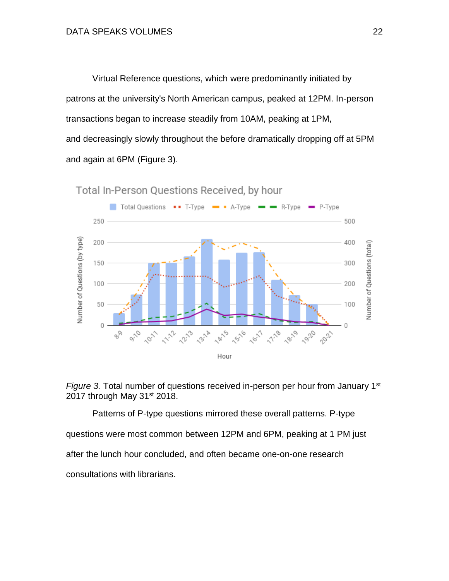Virtual Reference questions, which were predominantly initiated by patrons at the university's North American campus, peaked at 12PM. In-person transactions began to increase steadily from 10AM, peaking at 1PM, and decreasingly slowly throughout the before dramatically dropping off at 5PM and again at 6PM (Figure 3).



Total In-Person Questions Received, by hour



Patterns of P-type questions mirrored these overall patterns. P-type questions were most common between 12PM and 6PM, peaking at 1 PM just after the lunch hour concluded, and often became one-on-one research consultations with librarians.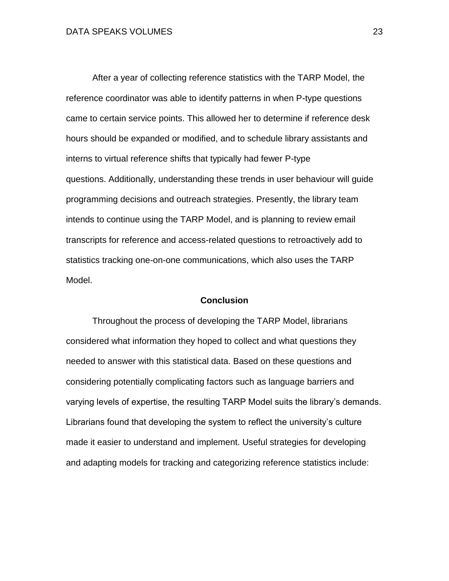After a year of collecting reference statistics with the TARP Model, the reference coordinator was able to identify patterns in when P-type questions came to certain service points. This allowed her to determine if reference desk hours should be expanded or modified, and to schedule library assistants and interns to virtual reference shifts that typically had fewer P-type questions. Additionally, understanding these trends in user behaviour will guide programming decisions and outreach strategies. Presently, the library team intends to continue using the TARP Model, and is planning to review email transcripts for reference and access-related questions to retroactively add to statistics tracking one-on-one communications, which also uses the TARP Model.

#### **Conclusion**

Throughout the process of developing the TARP Model, librarians considered what information they hoped to collect and what questions they needed to answer with this statistical data. Based on these questions and considering potentially complicating factors such as language barriers and varying levels of expertise, the resulting TARP Model suits the library's demands. Librarians found that developing the system to reflect the university's culture made it easier to understand and implement. Useful strategies for developing and adapting models for tracking and categorizing reference statistics include: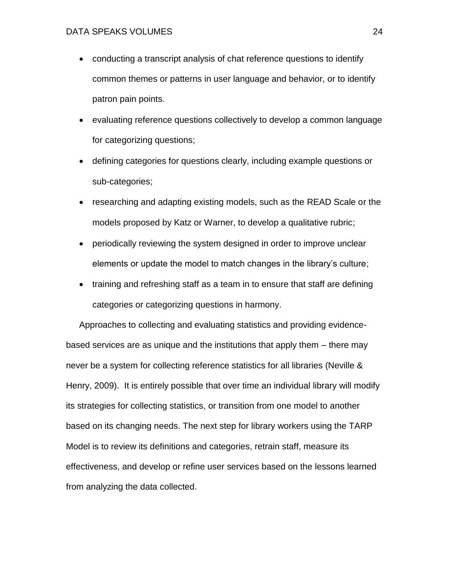- conducting a transcript analysis of chat reference questions to identify common themes or patterns in user language and behavior, or to identify patron pain points.
- evaluating reference questions collectively to develop a common language for categorizing questions;
- defining categories for questions clearly, including example questions or sub-categories;
- researching and adapting existing models, such as the READ Scale or the models proposed by Katz or Warner, to develop a qualitative rubric;
- periodically reviewing the system designed in order to improve unclear elements or update the model to match changes in the library's culture;
- training and refreshing staff as a team in to ensure that staff are defining categories or categorizing questions in harmony.

Approaches to collecting and evaluating statistics and providing evidencebased services are as unique and the institutions that apply them – there may never be a system for collecting reference statistics for all libraries (Neville & Henry, 2009). It is entirely possible that over time an individual library will modify its strategies for collecting statistics, or transition from one model to another based on its changing needs. The next step for library workers using the TARP Model is to review its definitions and categories, retrain staff, measure its effectiveness, and develop or refine user services based on the lessons learned from analyzing the data collected.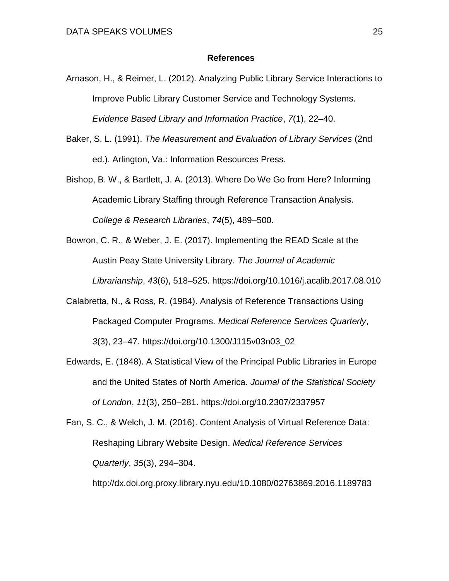#### **References**

- Arnason, H., & Reimer, L. (2012). Analyzing Public Library Service Interactions to Improve Public Library Customer Service and Technology Systems. *Evidence Based Library and Information Practice*, *7*(1), 22–40.
- Baker, S. L. (1991). *The Measurement and Evaluation of Library Services* (2nd ed.). Arlington, Va.: Information Resources Press.
- Bishop, B. W., & Bartlett, J. A. (2013). Where Do We Go from Here? Informing Academic Library Staffing through Reference Transaction Analysis. *College & Research Libraries*, *74*(5), 489–500.
- Bowron, C. R., & Weber, J. E. (2017). Implementing the READ Scale at the Austin Peay State University Library. *The Journal of Academic Librarianship*, *43*(6), 518–525. https://doi.org/10.1016/j.acalib.2017.08.010
- Calabretta, N., & Ross, R. (1984). Analysis of Reference Transactions Using Packaged Computer Programs. *Medical Reference Services Quarterly*, *3*(3), 23–47. https://doi.org/10.1300/J115v03n03\_02
- Edwards, E. (1848). A Statistical View of the Principal Public Libraries in Europe and the United States of North America. *Journal of the Statistical Society of London*, *11*(3), 250–281. https://doi.org/10.2307/2337957

Fan, S. C., & Welch, J. M. (2016). Content Analysis of Virtual Reference Data: Reshaping Library Website Design. *Medical Reference Services Quarterly*, *35*(3), 294–304.

http://dx.doi.org.proxy.library.nyu.edu/10.1080/02763869.2016.1189783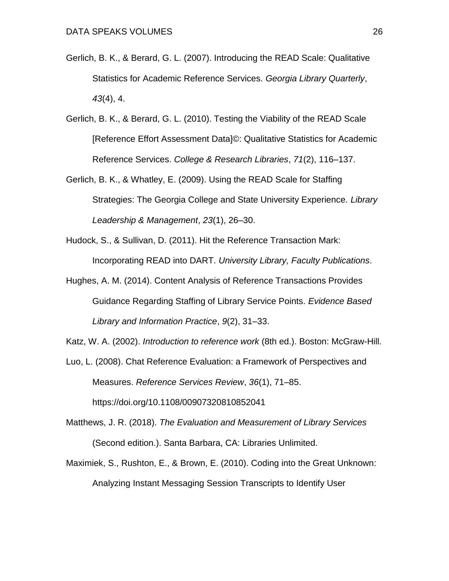- Gerlich, B. K., & Berard, G. L. (2007). Introducing the READ Scale: Qualitative Statistics for Academic Reference Services. *Georgia Library Quarterly*, *43*(4), 4.
- Gerlich, B. K., & Berard, G. L. (2010). Testing the Viability of the READ Scale [Reference Effort Assessment Data]©: Qualitative Statistics for Academic Reference Services. *College & Research Libraries*, *71*(2), 116–137.
- Gerlich, B. K., & Whatley, E. (2009). Using the READ Scale for Staffing Strategies: The Georgia College and State University Experience. *Library Leadership & Management*, *23*(1), 26–30.
- Hudock, S., & Sullivan, D. (2011). Hit the Reference Transaction Mark: Incorporating READ into DART. *University Library, Faculty Publications*.
- Hughes, A. M. (2014). Content Analysis of Reference Transactions Provides Guidance Regarding Staffing of Library Service Points. *Evidence Based Library and Information Practice*, *9*(2), 31–33.

Katz, W. A. (2002). *Introduction to reference work* (8th ed.). Boston: McGraw-Hill.

- Luo, L. (2008). Chat Reference Evaluation: a Framework of Perspectives and Measures. *Reference Services Review*, *36*(1), 71–85. https://doi.org/10.1108/00907320810852041
- Matthews, J. R. (2018). *The Evaluation and Measurement of Library Services* (Second edition.). Santa Barbara, CA: Libraries Unlimited.
- Maximiek, S., Rushton, E., & Brown, E. (2010). Coding into the Great Unknown: Analyzing Instant Messaging Session Transcripts to Identify User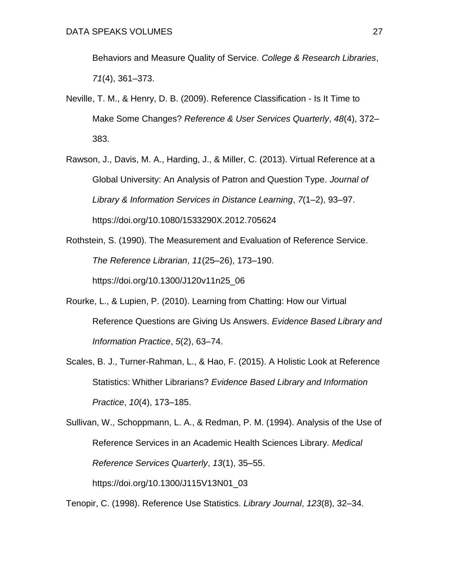Behaviors and Measure Quality of Service. *College & Research Libraries*, *71*(4), 361–373.

- Neville, T. M., & Henry, D. B. (2009). Reference Classification Is It Time to Make Some Changes? *Reference & User Services Quarterly*, *48*(4), 372– 383.
- Rawson, J., Davis, M. A., Harding, J., & Miller, C. (2013). Virtual Reference at a Global University: An Analysis of Patron and Question Type. *Journal of Library & Information Services in Distance Learning*, *7*(1–2), 93–97. https://doi.org/10.1080/1533290X.2012.705624
- Rothstein, S. (1990). The Measurement and Evaluation of Reference Service. *The Reference Librarian*, *11*(25–26), 173–190. https://doi.org/10.1300/J120v11n25\_06
- Rourke, L., & Lupien, P. (2010). Learning from Chatting: How our Virtual Reference Questions are Giving Us Answers. *Evidence Based Library and Information Practice*, *5*(2), 63–74.
- Scales, B. J., Turner-Rahman, L., & Hao, F. (2015). A Holistic Look at Reference Statistics: Whither Librarians? *Evidence Based Library and Information Practice*, *10*(4), 173–185.

Tenopir, C. (1998). Reference Use Statistics. *Library Journal*, *123*(8), 32–34.

Sullivan, W., Schoppmann, L. A., & Redman, P. M. (1994). Analysis of the Use of Reference Services in an Academic Health Sciences Library. *Medical Reference Services Quarterly*, *13*(1), 35–55. https://doi.org/10.1300/J115V13N01\_03